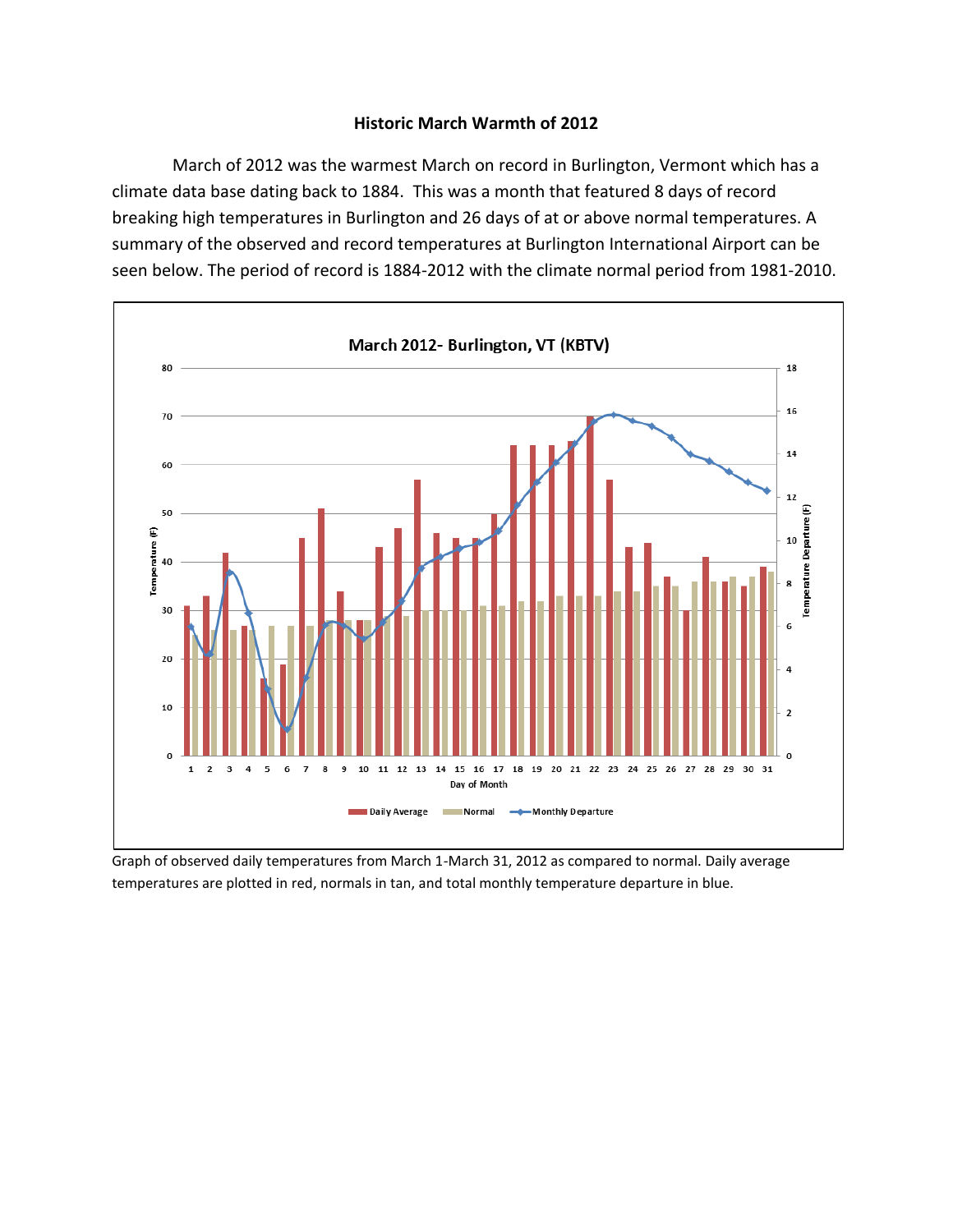## **Historic March Warmth of 2012**

March of 2012 was the warmest March on record in Burlington, Vermont which has a climate data base dating back to 1884. This was a month that featured 8 days of record breaking high temperatures in Burlington and 26 days of at or above normal temperatures. A summary of the observed and record temperatures at Burlington International Airport can be seen below. The period of record is 1884-2012 with the climate normal period from 1981-2010.



Graph of observed daily temperatures from March 1-March 31, 2012 as compared to normal. Daily average temperatures are plotted in red, normals in tan, and total monthly temperature departure in blue.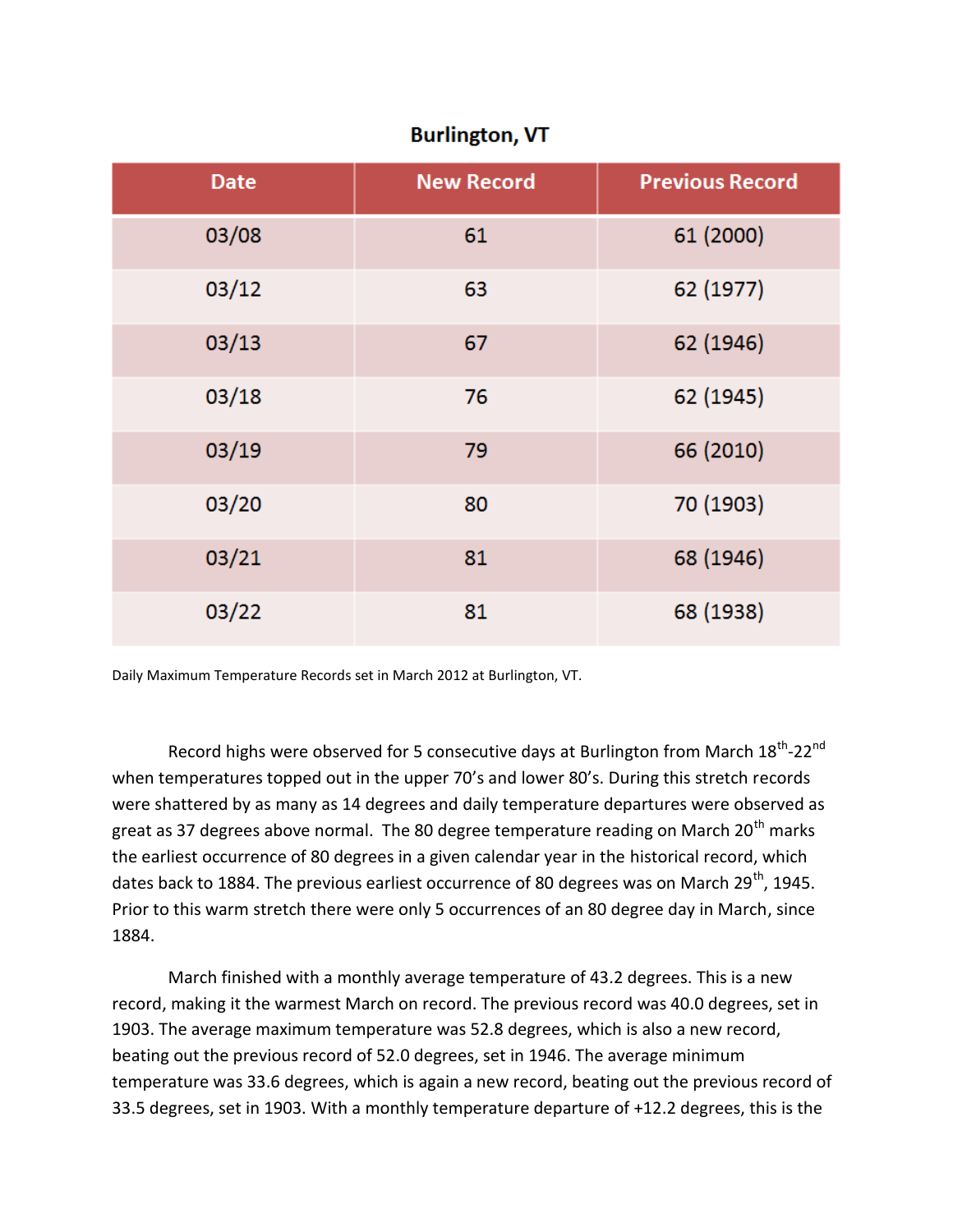| <b>Date</b> | <b>New Record</b> | <b>Previous Record</b> |
|-------------|-------------------|------------------------|
| 03/08       | 61                | 61 (2000)              |
| 03/12       | 63                | 62 (1977)              |
| 03/13       | 67                | 62 (1946)              |
| 03/18       | 76                | 62 (1945)              |
| 03/19       | 79                | 66 (2010)              |
| 03/20       | 80                | 70 (1903)              |
| 03/21       | 81                | 68 (1946)              |
| 03/22       | 81                | 68 (1938)              |

## **Burlington, VT**

Daily Maximum Temperature Records set in March 2012 at Burlington, VT.

Record highs were observed for 5 consecutive days at Burlington from March 18<sup>th</sup>-22<sup>nd</sup> when temperatures topped out in the upper 70's and lower 80's. During this stretch records were shattered by as many as 14 degrees and daily temperature departures were observed as great as 37 degrees above normal. The 80 degree temperature reading on March 20<sup>th</sup> marks the earliest occurrence of 80 degrees in a given calendar year in the historical record, which dates back to 1884. The previous earliest occurrence of 80 degrees was on March  $29<sup>th</sup>$ , 1945. Prior to this warm stretch there were only 5 occurrences of an 80 degree day in March, since 1884.

March finished with a monthly average temperature of 43.2 degrees. This is a new record, making it the warmest March on record. The previous record was 40.0 degrees, set in 1903. The average maximum temperature was 52.8 degrees, which is also a new record, beating out the previous record of 52.0 degrees, set in 1946. The average minimum temperature was 33.6 degrees, which is again a new record, beating out the previous record of 33.5 degrees, set in 1903. With a monthly temperature departure of +12.2 degrees, this is the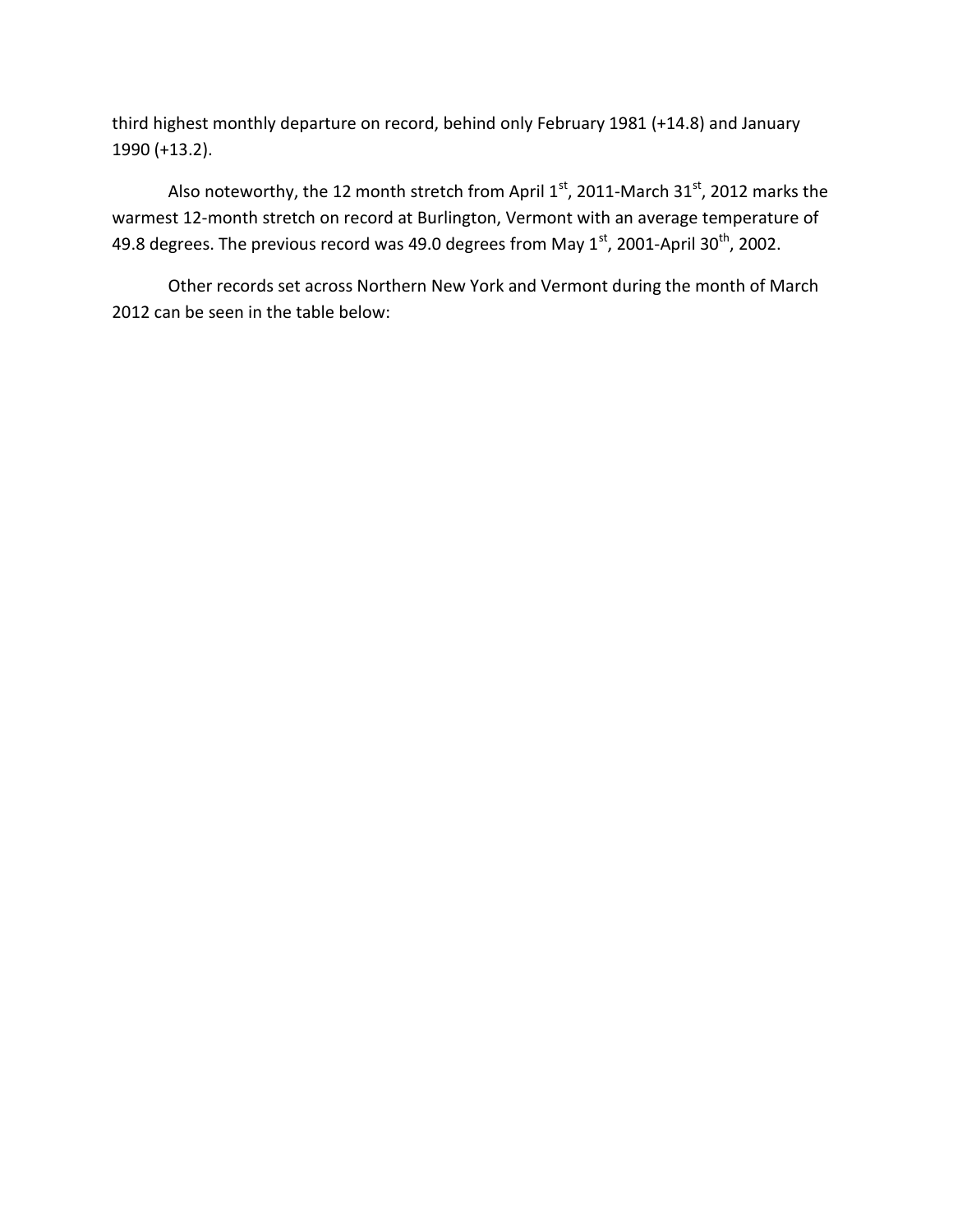third highest monthly departure on record, behind only February 1981 (+14.8) and January 1990 (+13.2).

Also noteworthy, the 12 month stretch from April  $1<sup>st</sup>$ , 2011-March 31 $<sup>st</sup>$ , 2012 marks the</sup> warmest 12-month stretch on record at Burlington, Vermont with an average temperature of 49.8 degrees. The previous record was 49.0 degrees from May  $1<sup>st</sup>$ , 2001-April 30<sup>th</sup>, 2002.

Other records set across Northern New York and Vermont during the month of March 2012 can be seen in the table below: